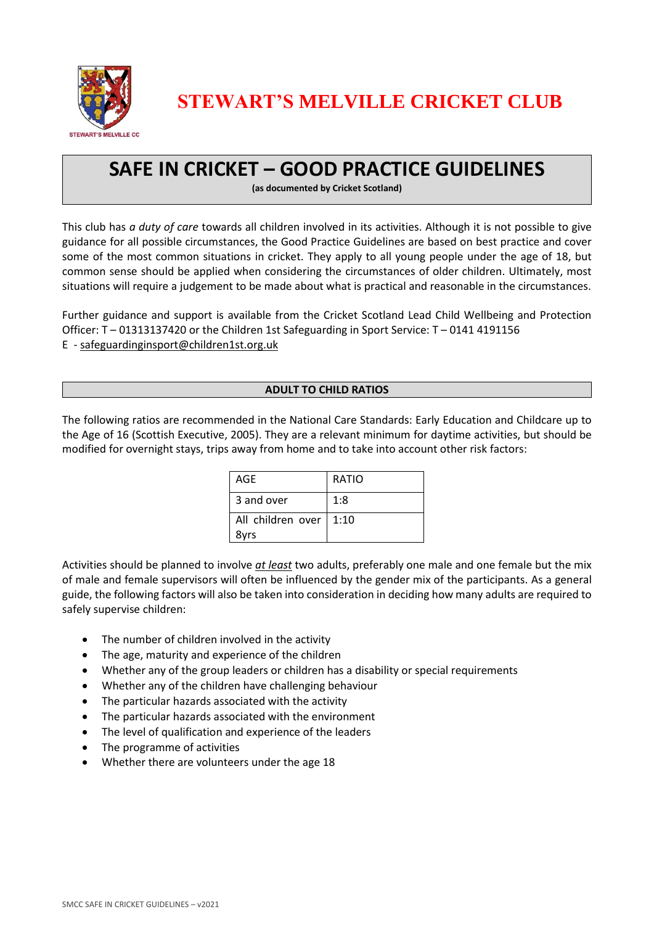

**STEWART'S MELVILLE CRICKET CLUB**

# **SAFE IN CRICKET – GOOD PRACTICE GUIDELINES**

**(as documented by Cricket Scotland)**

This club has *a duty of care* towards all children involved in its activities. Although it is not possible to give guidance for all possible circumstances, the Good Practice Guidelines are based on best practice and cover some of the most common situations in cricket. They apply to all young people under the age of 18, but common sense should be applied when considering the circumstances of older children. Ultimately, most situations will require a judgement to be made about what is practical and reasonable in the circumstances.

Further guidance and support is available from the Cricket Scotland Lead Child Wellbeing and Protection Officer: T – 01313137420 or the Children 1st Safeguarding in Sport Service: T – 0141 4191156 E - [safeguardinginsport@children1st.org.uk](mailto:safeguardinginsport@children1st.org.uk)

# **ADULT TO CHILD RATIOS**

The following ratios are recommended in the National Care Standards: Early Education and Childcare up to the Age of 16 (Scottish Executive, 2005). They are a relevant minimum for daytime activities, but should be modified for overnight stays, trips away from home and to take into account other risk factors:

| AGE                       | <b>RATIO</b> |
|---------------------------|--------------|
| 3 and over                | 1:8          |
| All children over<br>8yrs | 1:10         |

Activities should be planned to involve *at least* two adults, preferably one male and one female but the mix of male and female supervisors will often be influenced by the gender mix of the participants. As a general guide, the following factors will also be taken into consideration in deciding how many adults are required to safely supervise children:

- The number of children involved in the activity
- The age, maturity and experience of the children
- Whether any of the group leaders or children has a disability or special requirements
- Whether any of the children have challenging behaviour
- The particular hazards associated with the activity
- The particular hazards associated with the environment
- The level of qualification and experience of the leaders
- The programme of activities
- Whether there are volunteers under the age 18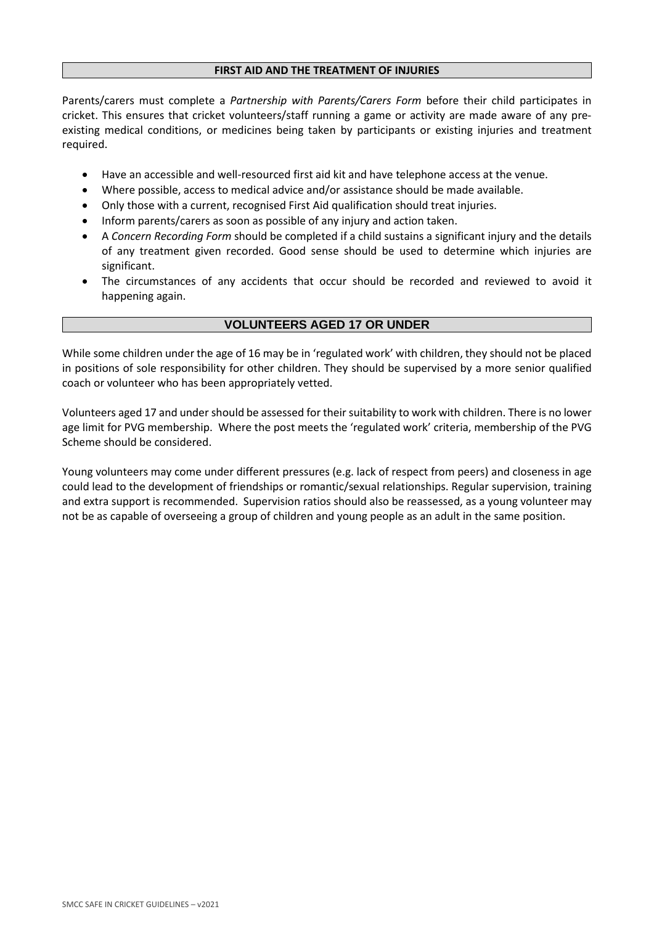#### **FIRST AID AND THE TREATMENT OF INJURIES**

Parents/carers must complete a *Partnership with Parents/Carers Form* before their child participates in cricket. This ensures that cricket volunteers/staff running a game or activity are made aware of any preexisting medical conditions, or medicines being taken by participants or existing injuries and treatment required.

- Have an accessible and well-resourced first aid kit and have telephone access at the venue.
- Where possible, access to medical advice and/or assistance should be made available.
- Only those with a current, recognised First Aid qualification should treat injuries.
- Inform parents/carers as soon as possible of any injury and action taken.
- A *Concern Recording Form* should be completed if a child sustains a significant injury and the details of any treatment given recorded. Good sense should be used to determine which injuries are significant.
- The circumstances of any accidents that occur should be recorded and reviewed to avoid it happening again.

# **VOLUNTEERS AGED 17 OR UNDER**

While some children under the age of 16 may be in 'regulated work' with children, they should not be placed in positions of sole responsibility for other children. They should be supervised by a more senior qualified coach or volunteer who has been appropriately vetted.

Volunteers aged 17 and under should be assessed for their suitability to work with children. There is no lower age limit for PVG membership. Where the post meets the 'regulated work' criteria, membership of the PVG Scheme should be considered.

Young volunteers may come under different pressures (e.g. lack of respect from peers) and closeness in age could lead to the development of friendships or romantic/sexual relationships. Regular supervision, training and extra support is recommended. Supervision ratios should also be reassessed, as a young volunteer may not be as capable of overseeing a group of children and young people as an adult in the same position.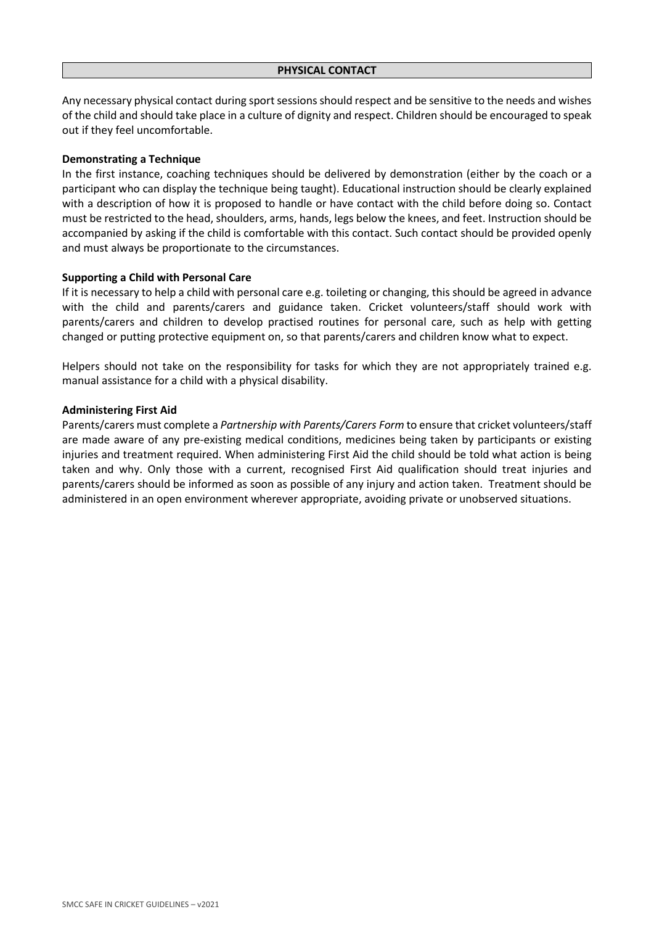Any necessary physical contact during sport sessions should respect and be sensitive to the needs and wishes of the child and should take place in a culture of dignity and respect. Children should be encouraged to speak out if they feel uncomfortable.

#### **Demonstrating a Technique**

In the first instance, coaching techniques should be delivered by demonstration (either by the coach or a participant who can display the technique being taught). Educational instruction should be clearly explained with a description of how it is proposed to handle or have contact with the child before doing so. Contact must be restricted to the head, shoulders, arms, hands, legs below the knees, and feet. Instruction should be accompanied by asking if the child is comfortable with this contact. Such contact should be provided openly and must always be proportionate to the circumstances.

#### **Supporting a Child with Personal Care**

If it is necessary to help a child with personal care e.g. toileting or changing, this should be agreed in advance with the child and parents/carers and guidance taken. Cricket volunteers/staff should work with parents/carers and children to develop practised routines for personal care, such as help with getting changed or putting protective equipment on, so that parents/carers and children know what to expect.

Helpers should not take on the responsibility for tasks for which they are not appropriately trained e.g. manual assistance for a child with a physical disability.

#### **Administering First Aid**

Parents/carers must complete a *Partnership with Parents/Carers Form* to ensure that cricket volunteers/staff are made aware of any pre-existing medical conditions, medicines being taken by participants or existing injuries and treatment required. When administering First Aid the child should be told what action is being taken and why. Only those with a current, recognised First Aid qualification should treat injuries and parents/carers should be informed as soon as possible of any injury and action taken. Treatment should be administered in an open environment wherever appropriate, avoiding private or unobserved situations.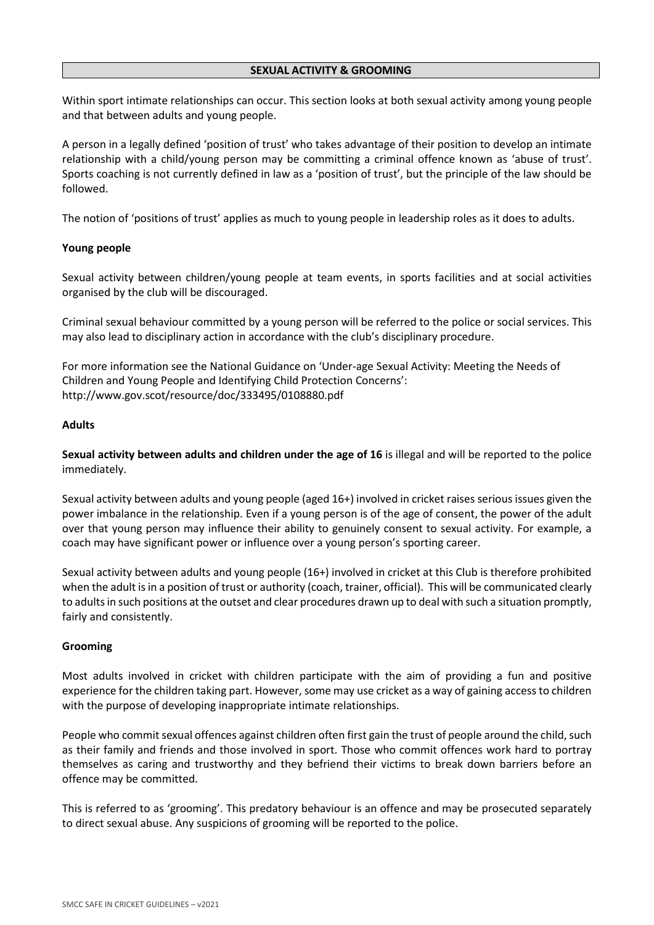#### **SEXUAL ACTIVITY & GROOMING**

Within sport intimate relationships can occur. This section looks at both sexual activity among young people and that between adults and young people.

A person in a legally defined 'position of trust' who takes advantage of their position to develop an intimate relationship with a child/young person may be committing a criminal offence known as 'abuse of trust'. Sports coaching is not currently defined in law as a 'position of trust', but the principle of the law should be followed.

The notion of 'positions of trust' applies as much to young people in leadership roles as it does to adults.

## **Young people**

Sexual activity between children/young people at team events, in sports facilities and at social activities organised by the club will be discouraged.

Criminal sexual behaviour committed by a young person will be referred to the police or social services. This may also lead to disciplinary action in accordance with the club's disciplinary procedure.

For more information see the National Guidance on 'Under-age Sexual Activity: Meeting the Needs of Children and Young People and Identifying Child Protection Concerns': http://www.gov.scot/resource/doc/333495/0108880.pdf

## **Adults**

**Sexual activity between adults and children under the age of 16** is illegal and will be reported to the police immediately.

Sexual activity between adults and young people (aged 16+) involved in cricket raises serious issues given the power imbalance in the relationship. Even if a young person is of the age of consent, the power of the adult over that young person may influence their ability to genuinely consent to sexual activity. For example, a coach may have significant power or influence over a young person's sporting career.

Sexual activity between adults and young people (16+) involved in cricket at this Club is therefore prohibited when the adult isin a position of trust or authority (coach, trainer, official). This will be communicated clearly to adultsin such positions at the outset and clear procedures drawn up to deal with such a situation promptly, fairly and consistently.

## **Grooming**

Most adults involved in cricket with children participate with the aim of providing a fun and positive experience for the children taking part. However, some may use cricket as a way of gaining access to children with the purpose of developing inappropriate intimate relationships.

People who commit sexual offences against children often first gain the trust of people around the child, such as their family and friends and those involved in sport. Those who commit offences work hard to portray themselves as caring and trustworthy and they befriend their victims to break down barriers before an offence may be committed.

This is referred to as 'grooming'. This predatory behaviour is an offence and may be prosecuted separately to direct sexual abuse. Any suspicions of grooming will be reported to the police.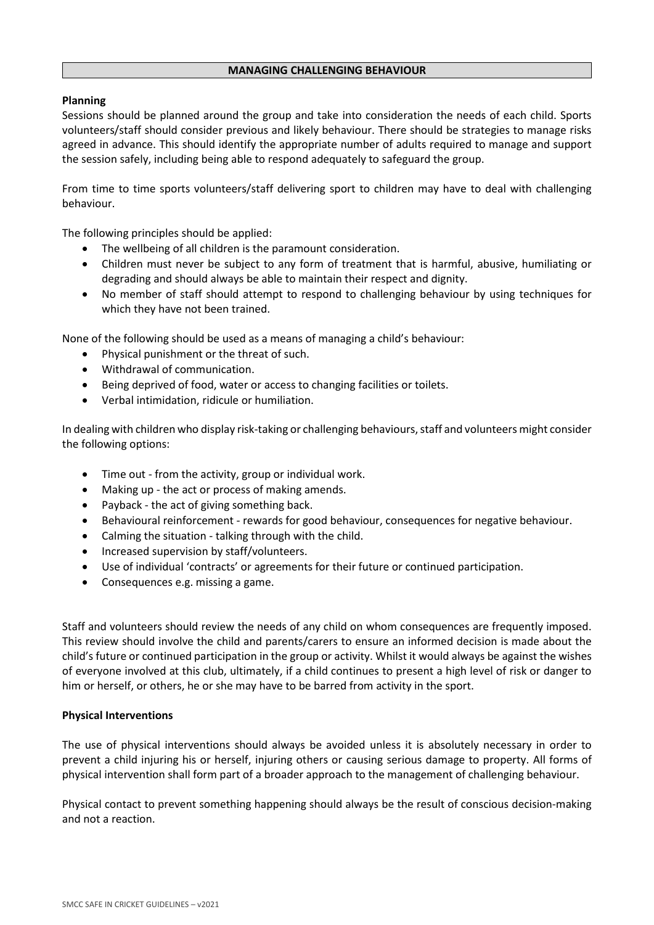#### **MANAGING CHALLENGING BEHAVIOUR**

## **Planning**

Sessions should be planned around the group and take into consideration the needs of each child. Sports volunteers/staff should consider previous and likely behaviour. There should be strategies to manage risks agreed in advance. This should identify the appropriate number of adults required to manage and support the session safely, including being able to respond adequately to safeguard the group.

From time to time sports volunteers/staff delivering sport to children may have to deal with challenging behaviour.

The following principles should be applied:

- The wellbeing of all children is the paramount consideration.
- Children must never be subject to any form of treatment that is harmful, abusive, humiliating or degrading and should always be able to maintain their respect and dignity.
- No member of staff should attempt to respond to challenging behaviour by using techniques for which they have not been trained.

None of the following should be used as a means of managing a child's behaviour:

- Physical punishment or the threat of such.
- Withdrawal of communication.
- Being deprived of food, water or access to changing facilities or toilets.
- Verbal intimidation, ridicule or humiliation.

In dealing with children who display risk-taking or challenging behaviours, staff and volunteers might consider the following options:

- Time out from the activity, group or individual work.
- Making up the act or process of making amends.
- Payback the act of giving something back.
- Behavioural reinforcement rewards for good behaviour, consequences for negative behaviour.
- Calming the situation talking through with the child.
- Increased supervision by staff/volunteers.
- Use of individual 'contracts' or agreements for their future or continued participation.
- Consequences e.g. missing a game.

Staff and volunteers should review the needs of any child on whom consequences are frequently imposed. This review should involve the child and parents/carers to ensure an informed decision is made about the child's future or continued participation in the group or activity. Whilst it would always be against the wishes of everyone involved at this club, ultimately, if a child continues to present a high level of risk or danger to him or herself, or others, he or she may have to be barred from activity in the sport.

## **Physical Interventions**

The use of physical interventions should always be avoided unless it is absolutely necessary in order to prevent a child injuring his or herself, injuring others or causing serious damage to property. All forms of physical intervention shall form part of a broader approach to the management of challenging behaviour.

Physical contact to prevent something happening should always be the result of conscious decision-making and not a reaction.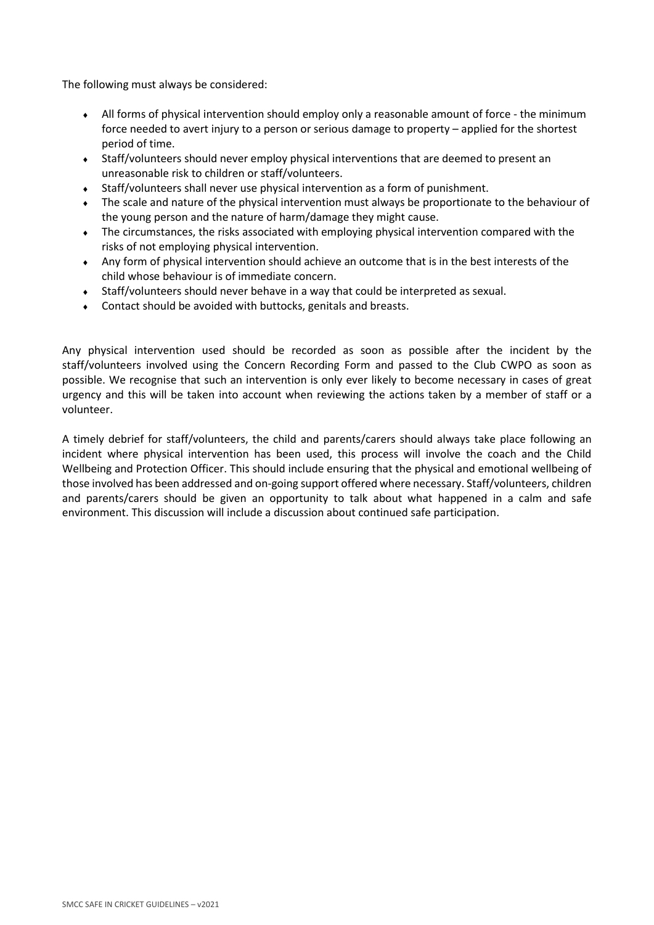The following must always be considered:

- All forms of physical intervention should employ only a reasonable amount of force the minimum force needed to avert injury to a person or serious damage to property – applied for the shortest period of time.
- Staff/volunteers should never employ physical interventions that are deemed to present an unreasonable risk to children or staff/volunteers.
- Staff/volunteers shall never use physical intervention as a form of punishment.
- The scale and nature of the physical intervention must always be proportionate to the behaviour of the young person and the nature of harm/damage they might cause.
- The circumstances, the risks associated with employing physical intervention compared with the risks of not employing physical intervention.
- Any form of physical intervention should achieve an outcome that is in the best interests of the child whose behaviour is of immediate concern.
- Staff/volunteers should never behave in a way that could be interpreted as sexual.
- Contact should be avoided with buttocks, genitals and breasts.

Any physical intervention used should be recorded as soon as possible after the incident by the staff/volunteers involved using the Concern Recording Form and passed to the Club CWPO as soon as possible. We recognise that such an intervention is only ever likely to become necessary in cases of great urgency and this will be taken into account when reviewing the actions taken by a member of staff or a volunteer.

A timely debrief for staff/volunteers, the child and parents/carers should always take place following an incident where physical intervention has been used, this process will involve the coach and the Child Wellbeing and Protection Officer. This should include ensuring that the physical and emotional wellbeing of those involved has been addressed and on-going support offered where necessary. Staff/volunteers, children and parents/carers should be given an opportunity to talk about what happened in a calm and safe environment. This discussion will include a discussion about continued safe participation.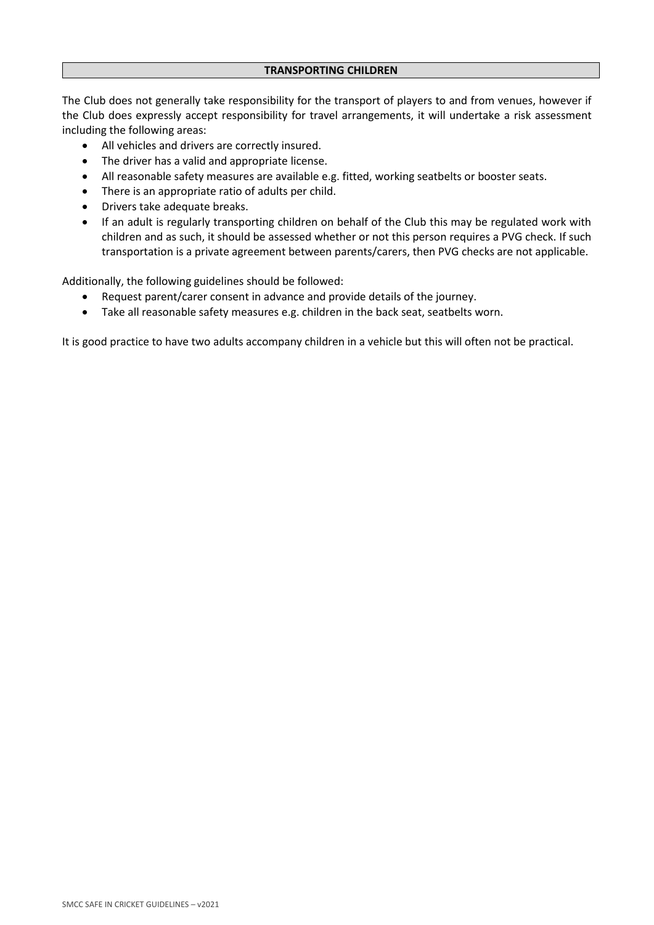#### **TRANSPORTING CHILDREN**

The Club does not generally take responsibility for the transport of players to and from venues, however if the Club does expressly accept responsibility for travel arrangements, it will undertake a risk assessment including the following areas:

- All vehicles and drivers are correctly insured.
- The driver has a valid and appropriate license.
- All reasonable safety measures are available e.g. fitted, working seatbelts or booster seats.
- There is an appropriate ratio of adults per child.
- Drivers take adequate breaks.
- If an adult is regularly transporting children on behalf of the Club this may be regulated work with children and as such, it should be assessed whether or not this person requires a PVG check. If such transportation is a private agreement between parents/carers, then PVG checks are not applicable.

Additionally, the following guidelines should be followed:

- Request parent/carer consent in advance and provide details of the journey.
- Take all reasonable safety measures e.g. children in the back seat, seatbelts worn.

It is good practice to have two adults accompany children in a vehicle but this will often not be practical.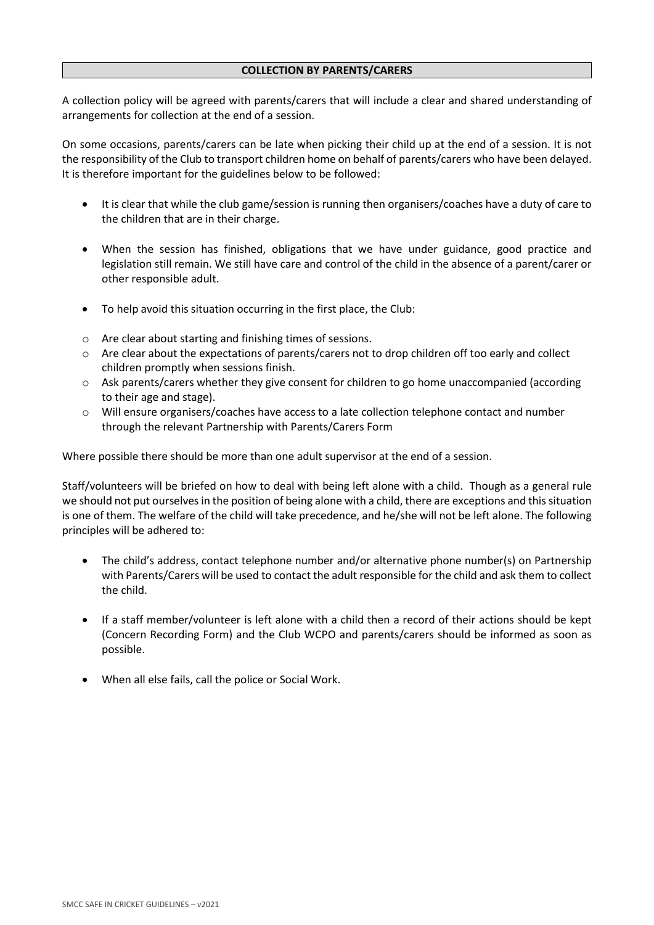### **COLLECTION BY PARENTS/CARERS**

A collection policy will be agreed with parents/carers that will include a clear and shared understanding of arrangements for collection at the end of a session.

On some occasions, parents/carers can be late when picking their child up at the end of a session. It is not the responsibility of the Club to transport children home on behalf of parents/carers who have been delayed. It is therefore important for the guidelines below to be followed:

- It is clear that while the club game/session is running then organisers/coaches have a duty of care to the children that are in their charge.
- When the session has finished, obligations that we have under guidance, good practice and legislation still remain. We still have care and control of the child in the absence of a parent/carer or other responsible adult.
- To help avoid this situation occurring in the first place, the Club:
- o Are clear about starting and finishing times of sessions.
- o Are clear about the expectations of parents/carers not to drop children off too early and collect children promptly when sessions finish.
- o Ask parents/carers whether they give consent for children to go home unaccompanied (according to their age and stage).
- o Will ensure organisers/coaches have access to a late collection telephone contact and number through the relevant Partnership with Parents/Carers Form

Where possible there should be more than one adult supervisor at the end of a session.

Staff/volunteers will be briefed on how to deal with being left alone with a child. Though as a general rule we should not put ourselvesin the position of being alone with a child, there are exceptions and thissituation is one of them. The welfare of the child will take precedence, and he/she will not be left alone. The following principles will be adhered to:

- The child's address, contact telephone number and/or alternative phone number(s) on Partnership with Parents/Carers will be used to contact the adult responsible for the child and ask them to collect the child.
- If a staff member/volunteer is left alone with a child then a record of their actions should be kept (Concern Recording Form) and the Club WCPO and parents/carers should be informed as soon as possible.
- When all else fails, call the police or Social Work.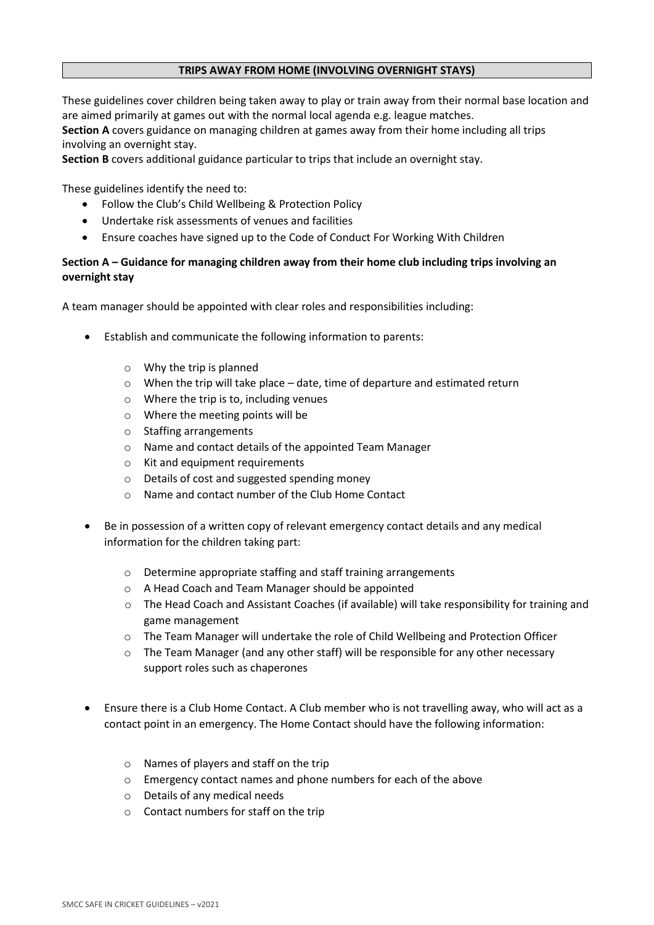## **TRIPS AWAY FROM HOME (INVOLVING OVERNIGHT STAYS)**

These guidelines cover children being taken away to play or train away from their normal base location and are aimed primarily at games out with the normal local agenda e.g. league matches.

**Section A** covers guidance on managing children at games away from their home including all trips involving an overnight stay.

**Section B** covers additional guidance particular to trips that include an overnight stay.

These guidelines identify the need to:

- Follow the Club's Child Wellbeing & Protection Policy
- Undertake risk assessments of venues and facilities
- Ensure coaches have signed up to the Code of Conduct For Working With Children

# **Section A – Guidance for managing children away from their home club including trips involving an overnight stay**

A team manager should be appointed with clear roles and responsibilities including:

- Establish and communicate the following information to parents:
	- o Why the trip is planned
	- o When the trip will take place date, time of departure and estimated return
	- o Where the trip is to, including venues
	- o Where the meeting points will be
	- o Staffing arrangements
	- o Name and contact details of the appointed Team Manager
	- o Kit and equipment requirements
	- o Details of cost and suggested spending money
	- o Name and contact number of the Club Home Contact
- Be in possession of a written copy of relevant emergency contact details and any medical information for the children taking part:
	- o Determine appropriate staffing and staff training arrangements
	- o A Head Coach and Team Manager should be appointed
	- o The Head Coach and Assistant Coaches (if available) will take responsibility for training and game management
	- o The Team Manager will undertake the role of Child Wellbeing and Protection Officer
	- $\circ$  The Team Manager (and any other staff) will be responsible for any other necessary support roles such as chaperones
- Ensure there is a Club Home Contact. A Club member who is not travelling away, who will act as a contact point in an emergency. The Home Contact should have the following information:
	- o Names of players and staff on the trip
	- o Emergency contact names and phone numbers for each of the above
	- o Details of any medical needs
	- o Contact numbers for staff on the trip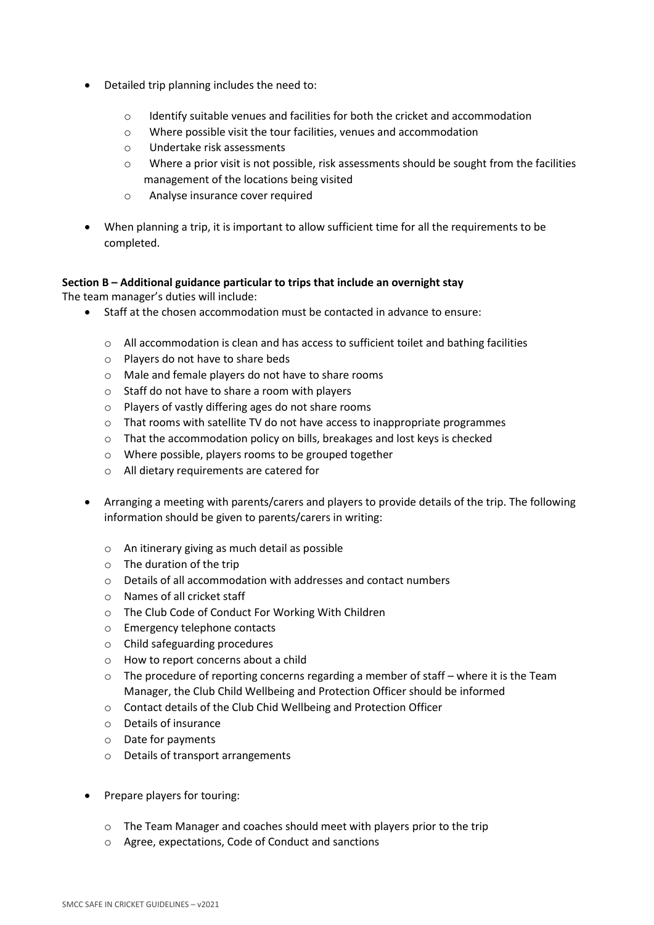- Detailed trip planning includes the need to:
	- o Identify suitable venues and facilities for both the cricket and accommodation
	- o Where possible visit the tour facilities, venues and accommodation
	- o Undertake risk assessments
	- $\circ$  Where a prior visit is not possible, risk assessments should be sought from the facilities management of the locations being visited
	- o Analyse insurance cover required
- When planning a trip, it is important to allow sufficient time for all the requirements to be completed.

## **Section B – Additional guidance particular to trips that include an overnight stay**

The team manager's duties will include:

- Staff at the chosen accommodation must be contacted in advance to ensure:
	- $\circ$  All accommodation is clean and has access to sufficient toilet and bathing facilities
	- o Players do not have to share beds
	- o Male and female players do not have to share rooms
	- o Staff do not have to share a room with players
	- o Players of vastly differing ages do not share rooms
	- o That rooms with satellite TV do not have access to inappropriate programmes
	- o That the accommodation policy on bills, breakages and lost keys is checked
	- o Where possible, players rooms to be grouped together
	- o All dietary requirements are catered for
- Arranging a meeting with parents/carers and players to provide details of the trip. The following information should be given to parents/carers in writing:
	- o An itinerary giving as much detail as possible
	- o The duration of the trip
	- o Details of all accommodation with addresses and contact numbers
	- o Names of all cricket staff
	- o The Club Code of Conduct For Working With Children
	- o Emergency telephone contacts
	- o Child safeguarding procedures
	- o How to report concerns about a child
	- $\circ$  The procedure of reporting concerns regarding a member of staff where it is the Team Manager, the Club Child Wellbeing and Protection Officer should be informed
	- o Contact details of the Club Chid Wellbeing and Protection Officer
	- o Details of insurance
	- o Date for payments
	- o Details of transport arrangements
- Prepare players for touring:
	- $\circ$  The Team Manager and coaches should meet with players prior to the trip
	- o Agree, expectations, Code of Conduct and sanctions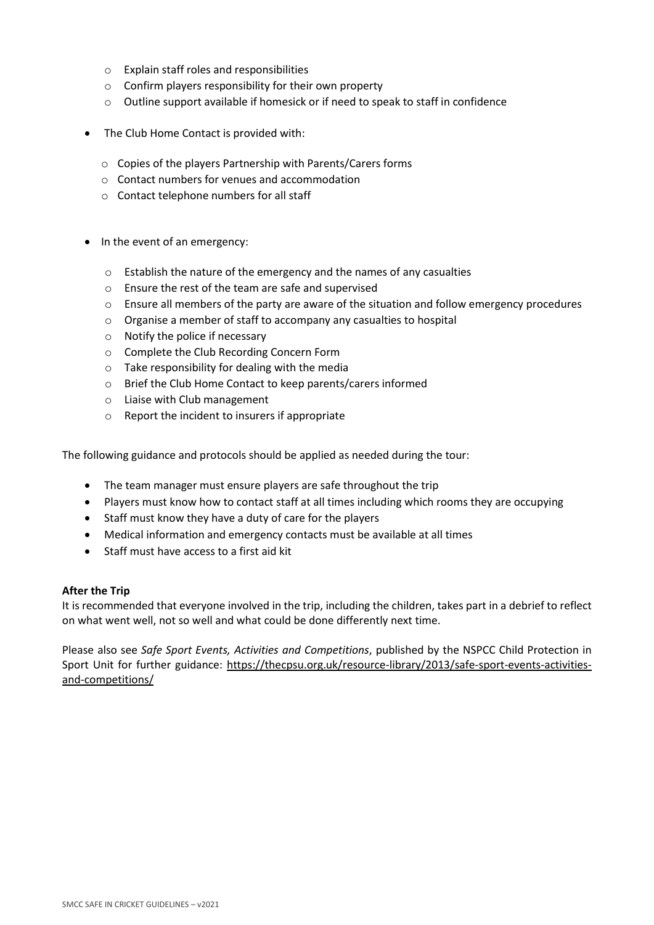- o Explain staff roles and responsibilities
- o Confirm players responsibility for their own property
- o Outline support available if homesick or if need to speak to staff in confidence
- The Club Home Contact is provided with:
	- o Copies of the players Partnership with Parents/Carers forms
	- o Contact numbers for venues and accommodation
	- o Contact telephone numbers for all staff
- In the event of an emergency:
	- o Establish the nature of the emergency and the names of any casualties
	- o Ensure the rest of the team are safe and supervised
	- $\circ$  Ensure all members of the party are aware of the situation and follow emergency procedures
	- o Organise a member of staff to accompany any casualties to hospital
	- o Notify the police if necessary
	- o Complete the Club Recording Concern Form
	- $\circ$  Take responsibility for dealing with the media
	- o Brief the Club Home Contact to keep parents/carers informed
	- o Liaise with Club management
	- o Report the incident to insurers if appropriate

The following guidance and protocols should be applied as needed during the tour:

- The team manager must ensure players are safe throughout the trip
- Players must know how to contact staff at all times including which rooms they are occupying
- Staff must know they have a duty of care for the players
- Medical information and emergency contacts must be available at all times
- Staff must have access to a first aid kit

## **After the Trip**

It is recommended that everyone involved in the trip, including the children, takes part in a debrief to reflect on what went well, not so well and what could be done differently next time.

Please also see *Safe Sport Events, Activities and Competitions*, published by the NSPCC Child Protection in Sport Unit for further guidance: [https://thecpsu.org.uk/resource-library/2013/safe-sport-events-activities](https://thecpsu.org.uk/resource-library/2013/safe-sport-events-activities-and-competitions/)[and-competitions/](https://thecpsu.org.uk/resource-library/2013/safe-sport-events-activities-and-competitions/)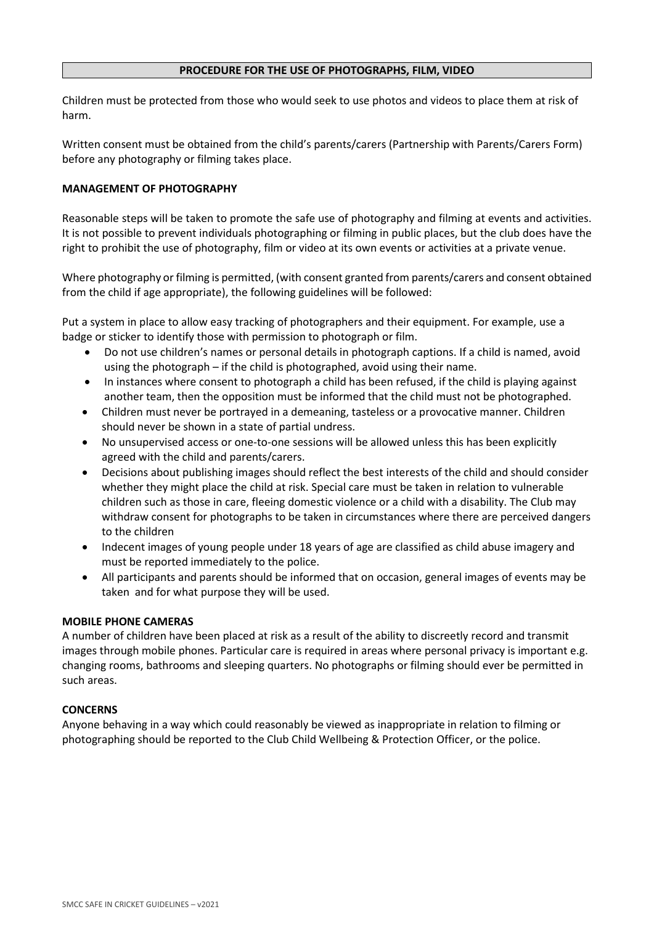### **PROCEDURE FOR THE USE OF PHOTOGRAPHS, FILM, VIDEO**

Children must be protected from those who would seek to use photos and videos to place them at risk of harm.

Written consent must be obtained from the child's parents/carers (Partnership with Parents/Carers Form) before any photography or filming takes place.

## **MANAGEMENT OF PHOTOGRAPHY**

Reasonable steps will be taken to promote the safe use of photography and filming at events and activities. It is not possible to prevent individuals photographing or filming in public places, but the club does have the right to prohibit the use of photography, film or video at its own events or activities at a private venue.

Where photography or filming is permitted, (with consent granted from parents/carers and consent obtained from the child if age appropriate), the following guidelines will be followed:

Put a system in place to allow easy tracking of photographers and their equipment. For example, use a badge or sticker to identify those with permission to photograph or film.

- Do not use children's names or personal details in photograph captions. If a child is named, avoid using the photograph – if the child is photographed, avoid using their name.
- In instances where consent to photograph a child has been refused, if the child is playing against another team, then the opposition must be informed that the child must not be photographed.
- Children must never be portrayed in a demeaning, tasteless or a provocative manner. Children should never be shown in a state of partial undress.
- No unsupervised access or one-to-one sessions will be allowed unless this has been explicitly agreed with the child and parents/carers.
- Decisions about publishing images should reflect the best interests of the child and should consider whether they might place the child at risk. Special care must be taken in relation to vulnerable children such as those in care, fleeing domestic violence or a child with a disability. The Club may withdraw consent for photographs to be taken in circumstances where there are perceived dangers to the children
- Indecent images of young people under 18 years of age are classified as child abuse imagery and must be reported immediately to the police.
- All participants and parents should be informed that on occasion, general images of events may be taken and for what purpose they will be used.

#### **MOBILE PHONE CAMERAS**

A number of children have been placed at risk as a result of the ability to discreetly record and transmit images through mobile phones. Particular care is required in areas where personal privacy is important e.g. changing rooms, bathrooms and sleeping quarters. No photographs or filming should ever be permitted in such areas.

## **CONCERNS**

Anyone behaving in a way which could reasonably be viewed as inappropriate in relation to filming or photographing should be reported to the Club Child Wellbeing & Protection Officer, or the police.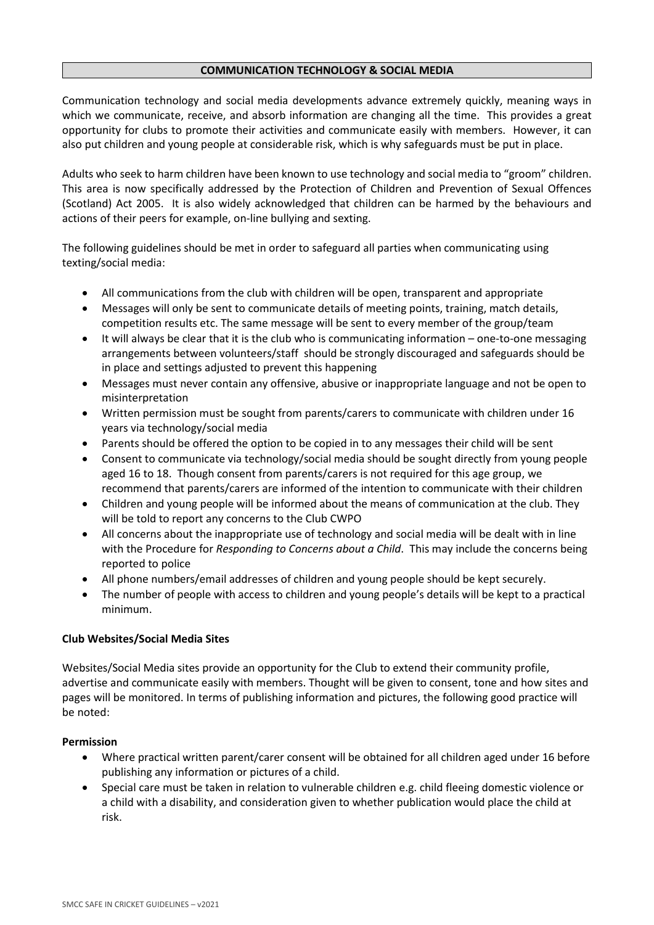## **COMMUNICATION TECHNOLOGY & SOCIAL MEDIA**

Communication technology and social media developments advance extremely quickly, meaning ways in which we communicate, receive, and absorb information are changing all the time. This provides a great opportunity for clubs to promote their activities and communicate easily with members. However, it can also put children and young people at considerable risk, which is why safeguards must be put in place.

Adults who seek to harm children have been known to use technology and social media to "groom" children. This area is now specifically addressed by the Protection of Children and Prevention of Sexual Offences (Scotland) Act 2005. It is also widely acknowledged that children can be harmed by the behaviours and actions of their peers for example, on-line bullying and sexting.

The following guidelines should be met in order to safeguard all parties when communicating using texting/social media:

- All communications from the club with children will be open, transparent and appropriate
- Messages will only be sent to communicate details of meeting points, training, match details, competition results etc. The same message will be sent to every member of the group/team
- It will always be clear that it is the club who is communicating information one-to-one messaging arrangements between volunteers/staff should be strongly discouraged and safeguards should be in place and settings adjusted to prevent this happening
- Messages must never contain any offensive, abusive or inappropriate language and not be open to misinterpretation
- Written permission must be sought from parents/carers to communicate with children under 16 years via technology/social media
- Parents should be offered the option to be copied in to any messages their child will be sent
- Consent to communicate via technology/social media should be sought directly from young people aged 16 to 18. Though consent from parents/carers is not required for this age group, we recommend that parents/carers are informed of the intention to communicate with their children
- Children and young people will be informed about the means of communication at the club. They will be told to report any concerns to the Club CWPO
- All concerns about the inappropriate use of technology and social media will be dealt with in line with the Procedure for *Responding to Concerns about a Child*. This may include the concerns being reported to police
- All phone numbers/email addresses of children and young people should be kept securely.
- The number of people with access to children and young people's details will be kept to a practical minimum.

## **Club Websites/Social Media Sites**

Websites/Social Media sites provide an opportunity for the Club to extend their community profile, advertise and communicate easily with members. Thought will be given to consent, tone and how sites and pages will be monitored. In terms of publishing information and pictures, the following good practice will be noted:

## **Permission**

- Where practical written parent/carer consent will be obtained for all children aged under 16 before publishing any information or pictures of a child.
- Special care must be taken in relation to vulnerable children e.g. child fleeing domestic violence or a child with a disability, and consideration given to whether publication would place the child at risk.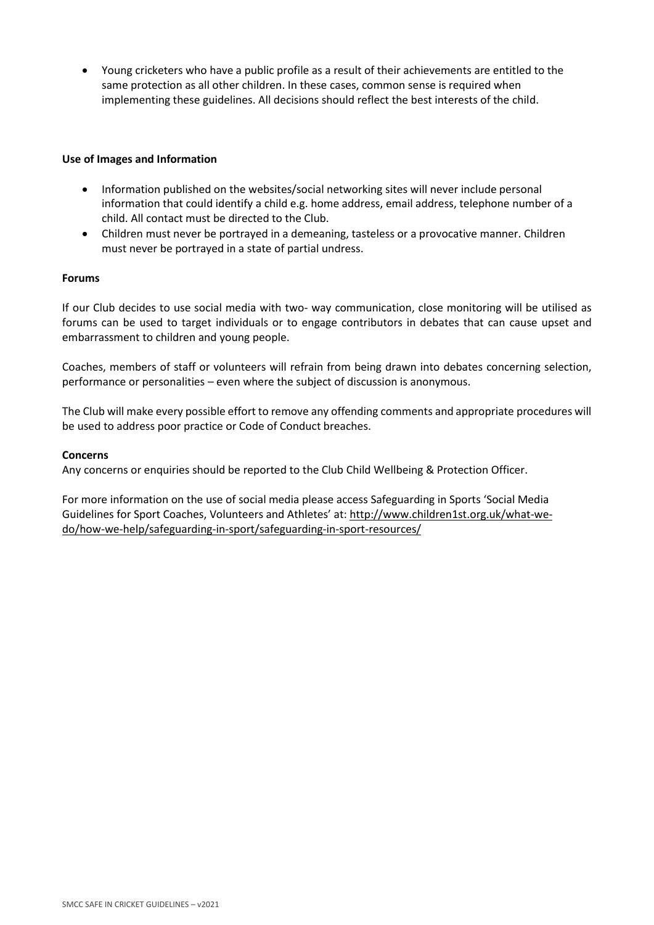• Young cricketers who have a public profile as a result of their achievements are entitled to the same protection as all other children. In these cases, common sense is required when implementing these guidelines. All decisions should reflect the best interests of the child.

## **Use of Images and Information**

- Information published on the websites/social networking sites will never include personal information that could identify a child e.g. home address, email address, telephone number of a child. All contact must be directed to the Club.
- Children must never be portrayed in a demeaning, tasteless or a provocative manner. Children must never be portrayed in a state of partial undress.

## **Forums**

If our Club decides to use social media with two- way communication, close monitoring will be utilised as forums can be used to target individuals or to engage contributors in debates that can cause upset and embarrassment to children and young people.

Coaches, members of staff or volunteers will refrain from being drawn into debates concerning selection, performance or personalities – even where the subject of discussion is anonymous.

The Club will make every possible effort to remove any offending comments and appropriate procedures will be used to address poor practice or Code of Conduct breaches.

## **Concerns**

Any concerns or enquiries should be reported to the Club Child Wellbeing & Protection Officer.

For more information on the use of social media please access Safeguarding in Sports 'Social Media Guidelines for Sport Coaches, Volunteers and Athletes' at: [http://www.children1st.org.uk/what-we](http://www.children1st.org.uk/what-we-do/how-we-help/safeguarding-in-sport/safeguarding-in-sport-resources/)[do/how-we-help/safeguarding-in-sport/safeguarding-in-sport-resources/](http://www.children1st.org.uk/what-we-do/how-we-help/safeguarding-in-sport/safeguarding-in-sport-resources/)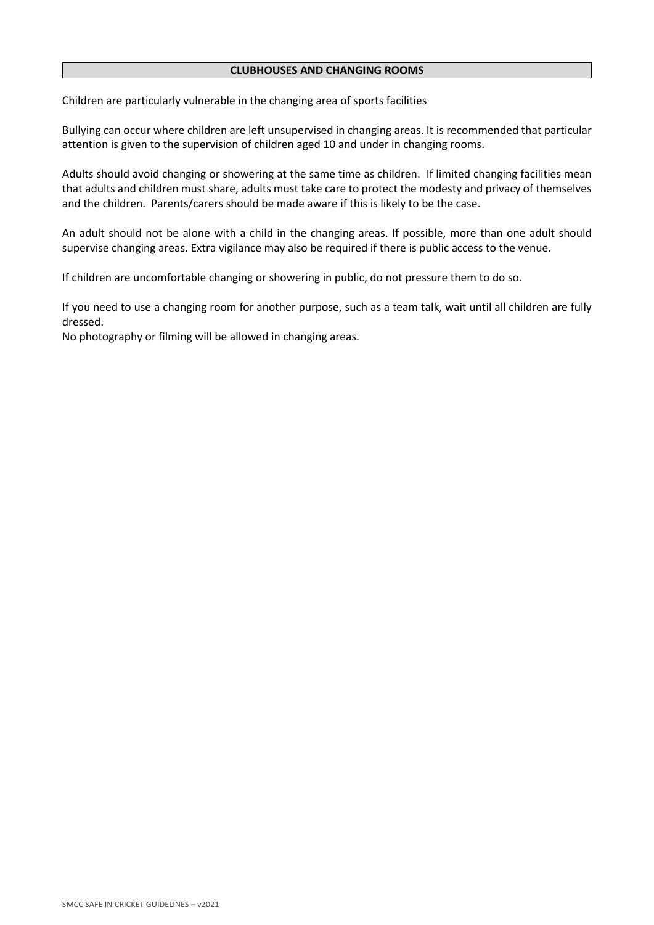#### **CLUBHOUSES AND CHANGING ROOMS**

Children are particularly vulnerable in the changing area of sports facilities

Bullying can occur where children are left unsupervised in changing areas. It is recommended that particular attention is given to the supervision of children aged 10 and under in changing rooms.

Adults should avoid changing or showering at the same time as children. If limited changing facilities mean that adults and children must share, adults must take care to protect the modesty and privacy of themselves and the children. Parents/carers should be made aware if this is likely to be the case.

An adult should not be alone with a child in the changing areas. If possible, more than one adult should supervise changing areas. Extra vigilance may also be required if there is public access to the venue.

If children are uncomfortable changing or showering in public, do not pressure them to do so.

If you need to use a changing room for another purpose, such as a team talk, wait until all children are fully dressed.

No photography or filming will be allowed in changing areas.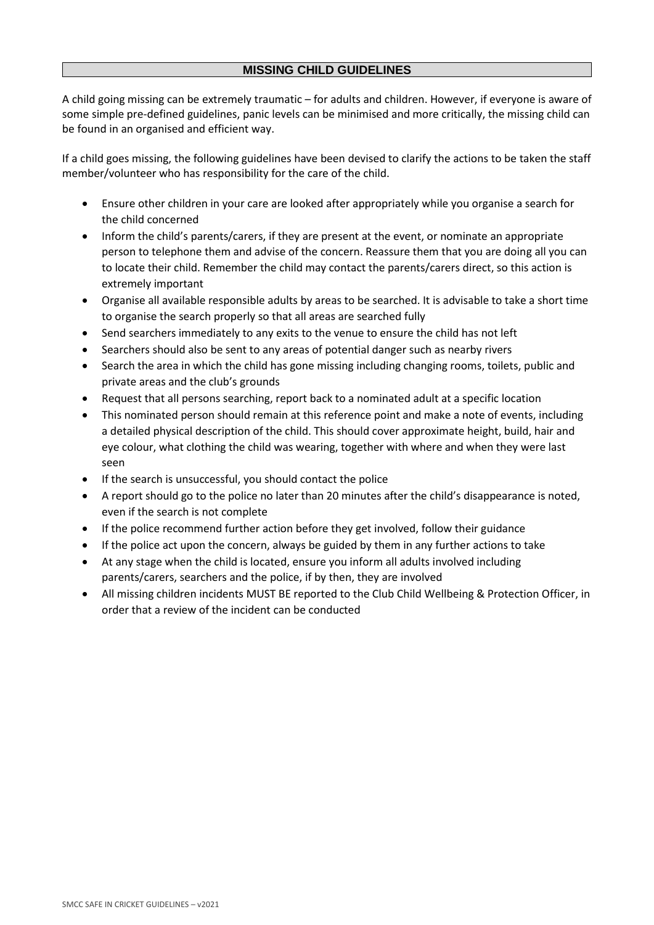# **MISSING CHILD GUIDELINES**

A child going missing can be extremely traumatic – for adults and children. However, if everyone is aware of some simple pre-defined guidelines, panic levels can be minimised and more critically, the missing child can be found in an organised and efficient way.

If a child goes missing, the following guidelines have been devised to clarify the actions to be taken the staff member/volunteer who has responsibility for the care of the child.

- Ensure other children in your care are looked after appropriately while you organise a search for the child concerned
- Inform the child's parents/carers, if they are present at the event, or nominate an appropriate person to telephone them and advise of the concern. Reassure them that you are doing all you can to locate their child. Remember the child may contact the parents/carers direct, so this action is extremely important
- Organise all available responsible adults by areas to be searched. It is advisable to take a short time to organise the search properly so that all areas are searched fully
- Send searchers immediately to any exits to the venue to ensure the child has not left
- Searchers should also be sent to any areas of potential danger such as nearby rivers
- Search the area in which the child has gone missing including changing rooms, toilets, public and private areas and the club's grounds
- Request that all persons searching, report back to a nominated adult at a specific location
- This nominated person should remain at this reference point and make a note of events, including a detailed physical description of the child. This should cover approximate height, build, hair and eye colour, what clothing the child was wearing, together with where and when they were last seen
- If the search is unsuccessful, you should contact the police
- A report should go to the police no later than 20 minutes after the child's disappearance is noted, even if the search is not complete
- If the police recommend further action before they get involved, follow their guidance
- If the police act upon the concern, always be guided by them in any further actions to take
- At any stage when the child is located, ensure you inform all adults involved including parents/carers, searchers and the police, if by then, they are involved
- All missing children incidents MUST BE reported to the Club Child Wellbeing & Protection Officer, in order that a review of the incident can be conducted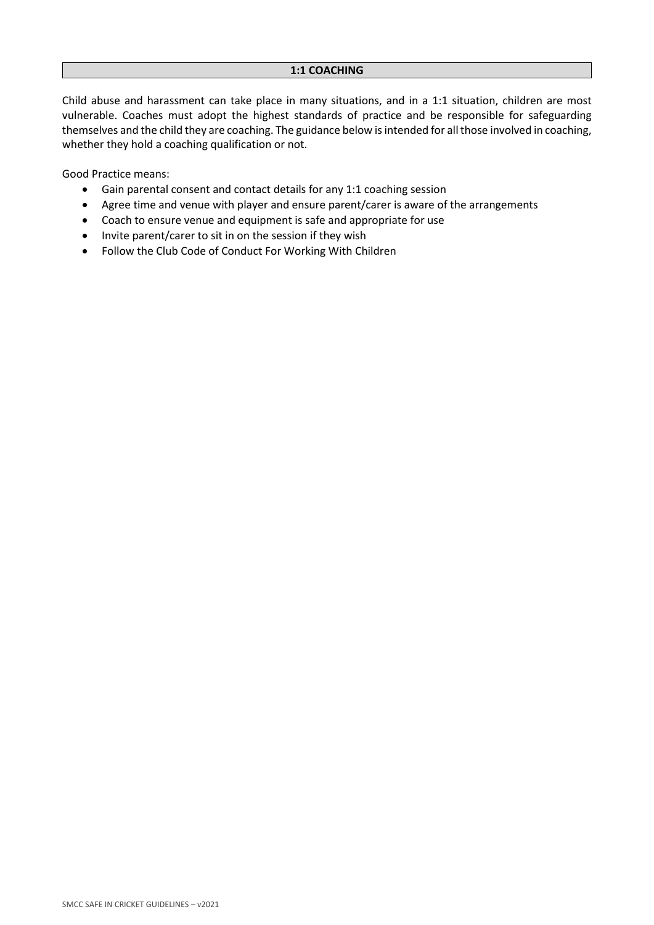Child abuse and harassment can take place in many situations, and in a 1:1 situation, children are most vulnerable. Coaches must adopt the highest standards of practice and be responsible for safeguarding themselves and the child they are coaching. The guidance below is intended for all those involved in coaching, whether they hold a coaching qualification or not.

Good Practice means:

- Gain parental consent and contact details for any 1:1 coaching session
- Agree time and venue with player and ensure parent/carer is aware of the arrangements
- Coach to ensure venue and equipment is safe and appropriate for use
- Invite parent/carer to sit in on the session if they wish
- Follow the Club Code of Conduct For Working With Children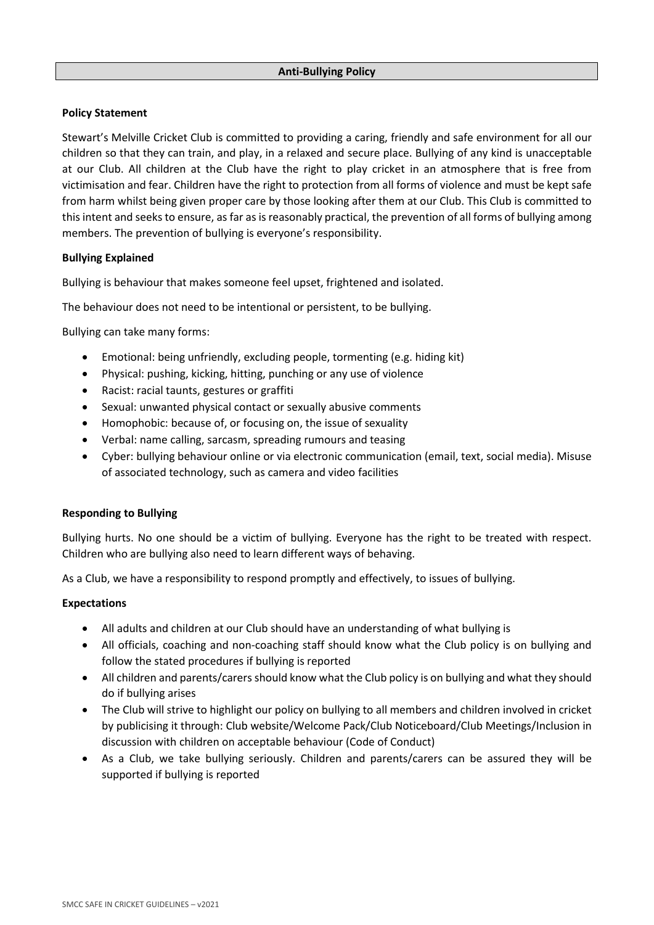## **Policy Statement**

Stewart's Melville Cricket Club is committed to providing a caring, friendly and safe environment for all our children so that they can train, and play, in a relaxed and secure place. Bullying of any kind is unacceptable at our Club. All children at the Club have the right to play cricket in an atmosphere that is free from victimisation and fear. Children have the right to protection from all forms of violence and must be kept safe from harm whilst being given proper care by those looking after them at our Club. This Club is committed to this intent and seeksto ensure, as far as is reasonably practical, the prevention of all forms of bullying among members. The prevention of bullying is everyone's responsibility.

# **Bullying Explained**

Bullying is behaviour that makes someone feel upset, frightened and isolated.

The behaviour does not need to be intentional or persistent, to be bullying.

Bullying can take many forms:

- Emotional: being unfriendly, excluding people, tormenting (e.g. hiding kit)
- Physical: pushing, kicking, hitting, punching or any use of violence
- Racist: racial taunts, gestures or graffiti
- Sexual: unwanted physical contact or sexually abusive comments
- Homophobic: because of, or focusing on, the issue of sexuality
- Verbal: name calling, sarcasm, spreading rumours and teasing
- Cyber: bullying behaviour online or via electronic communication (email, text, social media). Misuse of associated technology, such as camera and video facilities

## **Responding to Bullying**

Bullying hurts. No one should be a victim of bullying. Everyone has the right to be treated with respect. Children who are bullying also need to learn different ways of behaving.

As a Club, we have a responsibility to respond promptly and effectively, to issues of bullying.

## **Expectations**

- All adults and children at our Club should have an understanding of what bullying is
- All officials, coaching and non-coaching staff should know what the Club policy is on bullying and follow the stated procedures if bullying is reported
- All children and parents/carers should know what the Club policy is on bullying and what they should do if bullying arises
- The Club will strive to highlight our policy on bullying to all members and children involved in cricket by publicising it through: Club website/Welcome Pack/Club Noticeboard/Club Meetings/Inclusion in discussion with children on acceptable behaviour (Code of Conduct)
- As a Club, we take bullying seriously. Children and parents/carers can be assured they will be supported if bullying is reported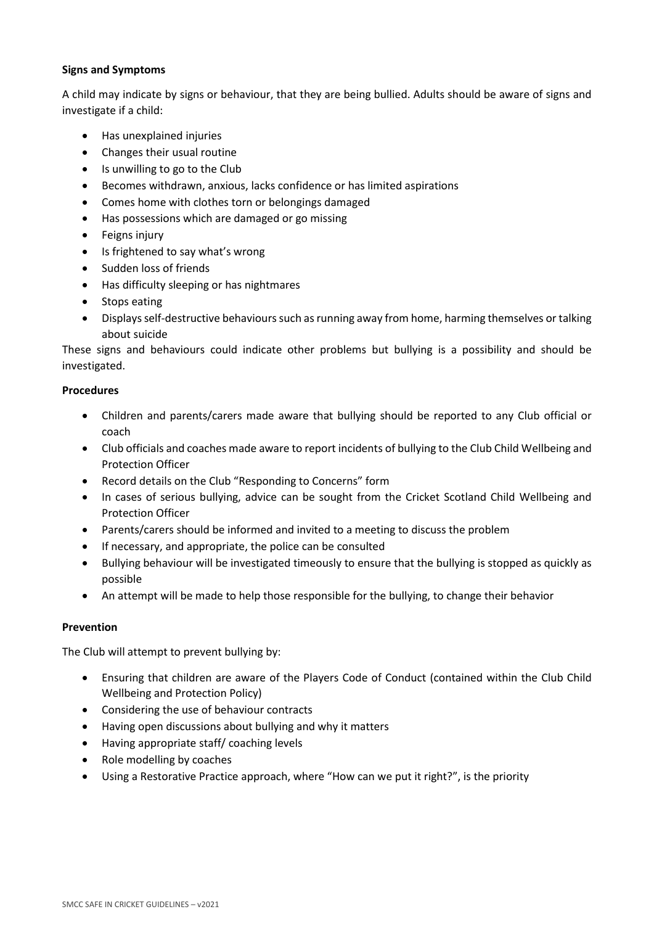# **Signs and Symptoms**

A child may indicate by signs or behaviour, that they are being bullied. Adults should be aware of signs and investigate if a child:

- Has unexplained injuries
- Changes their usual routine
- Is unwilling to go to the Club
- Becomes withdrawn, anxious, lacks confidence or has limited aspirations
- Comes home with clothes torn or belongings damaged
- Has possessions which are damaged or go missing
- Feigns injury
- Is frightened to say what's wrong
- Sudden loss of friends
- Has difficulty sleeping or has nightmares
- Stops eating
- Displays self-destructive behaviours such as running away from home, harming themselves or talking about suicide

These signs and behaviours could indicate other problems but bullying is a possibility and should be investigated.

#### **Procedures**

- Children and parents/carers made aware that bullying should be reported to any Club official or coach
- Club officials and coaches made aware to report incidents of bullying to the Club Child Wellbeing and Protection Officer
- Record details on the Club "Responding to Concerns" form
- In cases of serious bullying, advice can be sought from the Cricket Scotland Child Wellbeing and Protection Officer
- Parents/carers should be informed and invited to a meeting to discuss the problem
- If necessary, and appropriate, the police can be consulted
- Bullying behaviour will be investigated timeously to ensure that the bullying is stopped as quickly as possible
- An attempt will be made to help those responsible for the bullying, to change their behavior

## **Prevention**

The Club will attempt to prevent bullying by:

- Ensuring that children are aware of the Players Code of Conduct (contained within the Club Child Wellbeing and Protection Policy)
- Considering the use of behaviour contracts
- Having open discussions about bullying and why it matters
- Having appropriate staff/ coaching levels
- Role modelling by coaches
- Using a Restorative Practice approach, where "How can we put it right?", is the priority